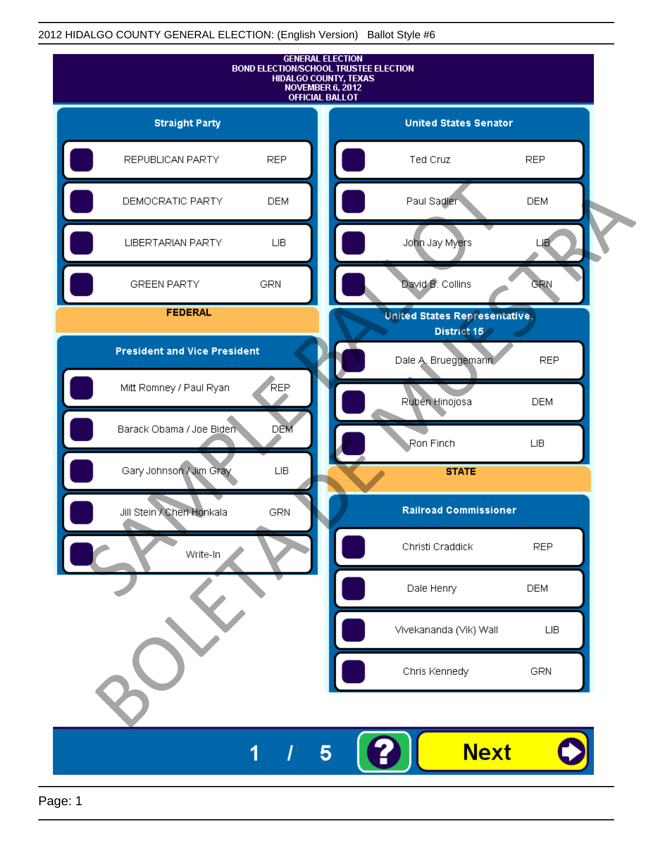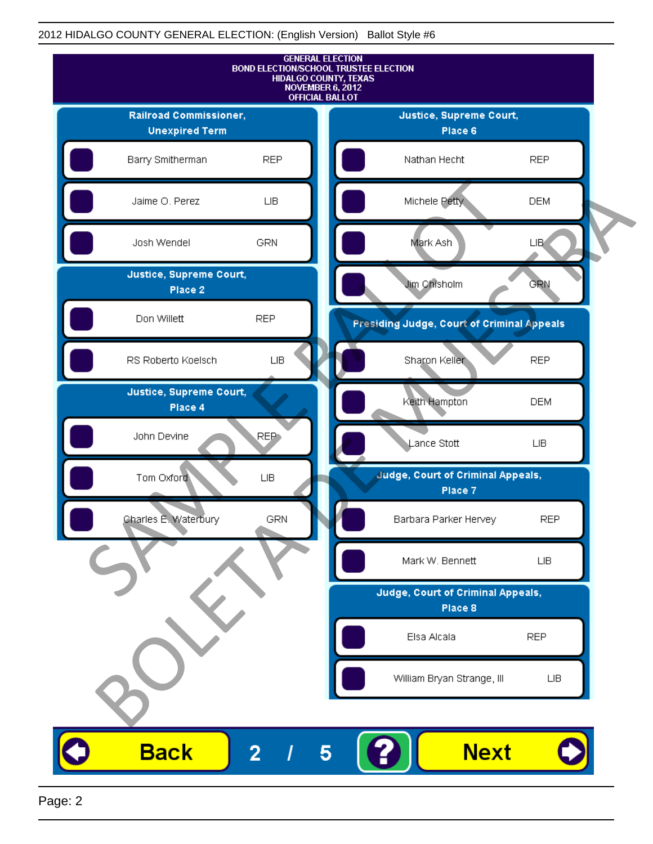

Page: 2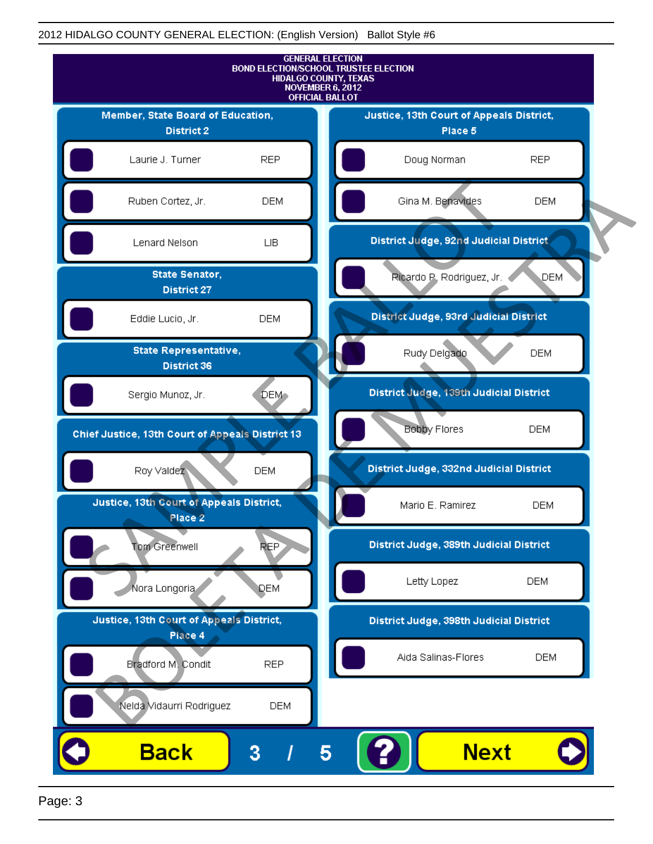

Page: 3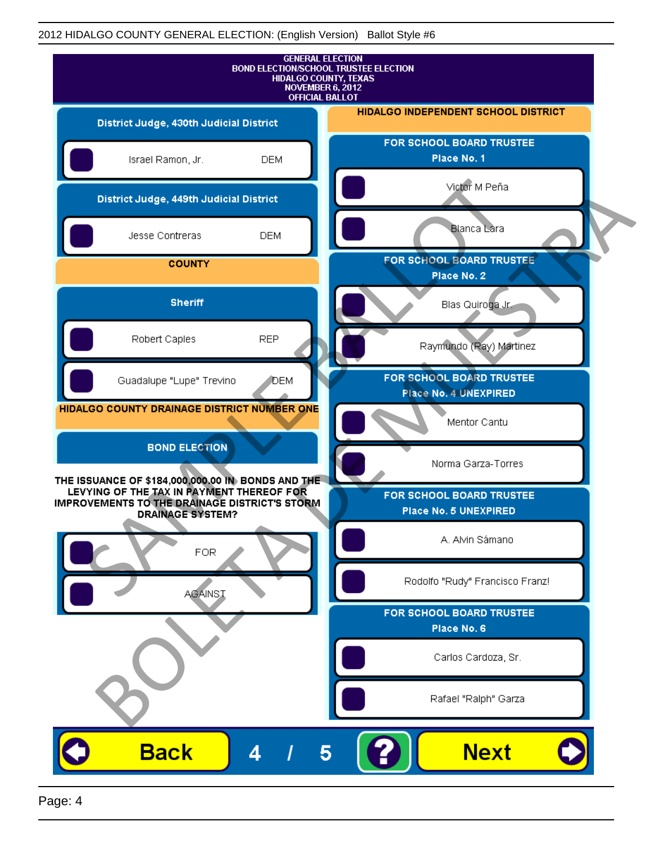| <b>GENERAL ELECTION</b><br><b>BOND ELECTION/SCHOOL TRUSTEE ELECTION</b><br>HIDALGO COUNTY, TEXAS<br>NOVEMBER 6, 2012<br><b>OFFICIAL BALLOT</b>                             |            |                                                   |  |
|----------------------------------------------------------------------------------------------------------------------------------------------------------------------------|------------|---------------------------------------------------|--|
| District Judge, 430th Judicial District                                                                                                                                    |            | <b>HIDALGO INDEPENDENT SCHOOL DISTRICT</b>        |  |
| Israel Ramon, Jr.                                                                                                                                                          | <b>DEM</b> | FOR SCHOOL BOARD TRUSTEE<br>Place No. 1           |  |
| District Judge, 449th Judicial District                                                                                                                                    |            | Victor M Peña                                     |  |
| Jesse Contreras                                                                                                                                                            | <b>DEM</b> | <b>Blanca Lara</b>                                |  |
| <b>COUNTY</b>                                                                                                                                                              |            | FOR SCHOOL BOARD TRUSTEE<br>Place No. 2           |  |
| <b>Sheriff</b>                                                                                                                                                             |            | Blas Quiroga Jr.                                  |  |
| Robert Caples                                                                                                                                                              | <b>REP</b> | Raymundo (Ray) Martinez                           |  |
| Guadalupe "Lupe" Trevino                                                                                                                                                   | DEM        | FOR SCHOOL BOARD TRUSTEE<br>Place No. 4 UNEXPIRED |  |
| HIDALGO COUNTY DRAINAGE DISTRICT NUMBER ONE                                                                                                                                |            | Mentor Cantu                                      |  |
| <b>BOND ELECTION</b>                                                                                                                                                       |            | Norma Garza-Torres                                |  |
| THE ISSUANCE OF \$184,000,000.00 IN BONDS AND THE<br>LEVYING OF THE TAX IN PAYMENT THEREOF FOR<br>IMPROVEMENTS TO THE DRAINAGE DISTRICT'S STORM<br><b>DRAINAGE SYSTEM?</b> |            | FOR SCHOOL BOARD TRUSTEE<br>Place No. 5 UNEXPIRED |  |
| <b>FOR</b>                                                                                                                                                                 |            | A. Alvin Sámano                                   |  |
| <b>AGAINST</b>                                                                                                                                                             |            | Rodolfo "Rudy" Francisco Franz!                   |  |
|                                                                                                                                                                            |            | FOR SCHOOL BOARD TRUSTEE<br>Place No. 6           |  |
|                                                                                                                                                                            |            | Carlos Cardoza, Sr.                               |  |
|                                                                                                                                                                            |            | Rafael "Ralph" Garza                              |  |
| <b>Back</b><br>4                                                                                                                                                           | 5          | <b>Next</b>                                       |  |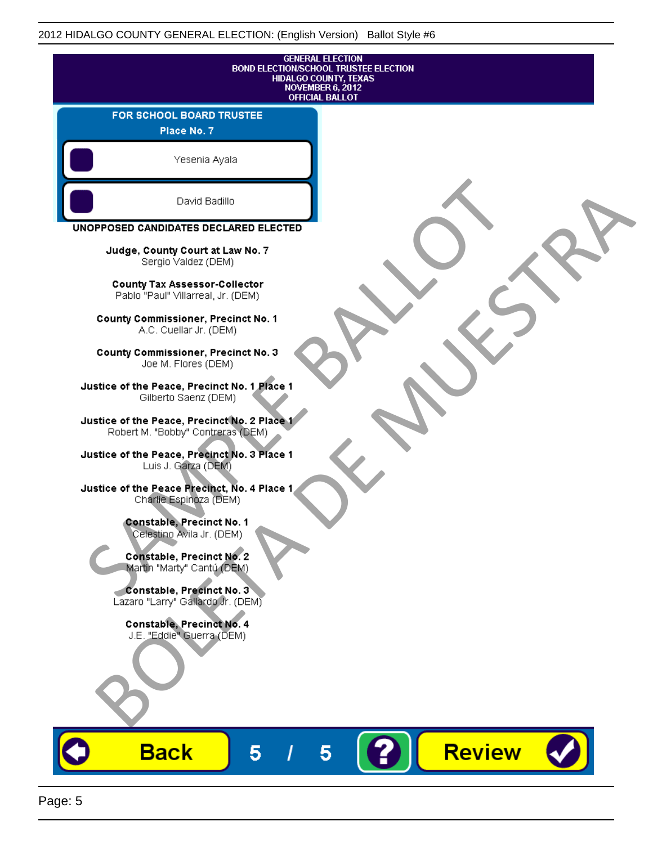| <b>GENERAL ELECTION</b><br><b>BOND ELECTION/SCHOOL TRUSTEE ELECTION</b><br>HIDALGO COUNTY, TEXAS<br><b>NOVEMBER 6, 2012</b><br><b>OFFICIAL BALLOT</b> |               |  |
|-------------------------------------------------------------------------------------------------------------------------------------------------------|---------------|--|
| FOR SCHOOL BOARD TRUSTEE<br>Place No. 7                                                                                                               |               |  |
| Yesenia Ayala                                                                                                                                         |               |  |
| David Badillo                                                                                                                                         |               |  |
| UNOPPOSED CANDIDATES DECLARED ELECTED                                                                                                                 |               |  |
| Judge, County Court at Law No. 7<br>Sergio Valdez (DEM)                                                                                               |               |  |
| <b>County Tax Assessor-Collector</b><br>Pablo "Paul" Villarreal, Jr. (DEM)                                                                            |               |  |
| <b>County Commissioner, Precinct No. 1</b><br>A.C. Cuellar Jr. (DEM)                                                                                  |               |  |
| County Commissioner, Precinct No. 3<br>Joe M. Flores (DEM)                                                                                            |               |  |
| Justice of the Peace, Precinct No. 1 Place 1<br>Gilberto Saenz (DEM)                                                                                  |               |  |
| Justice of the Peace, Precinct No. 2 Place 1<br>Robert M. "Bobby" Contreras (DEM)                                                                     |               |  |
| Justice of the Peace, Precinct No. 3 Place 1<br>Luis J. Garza (DEM)                                                                                   |               |  |
| Justice of the Peace Precinct, No. 4 Place 1<br>Charlie Espinoza (DEM)                                                                                |               |  |
| <b>Constable, Precinct No. 1</b><br>Celestino Avila Jr. (DEM)                                                                                         |               |  |
| Constable, Precinct No. 2<br>Martin "Marty" Cantú (DEM)                                                                                               |               |  |
| Constable, Precinct No. 3<br>Lazaro "Larry" Gallardo Jr. (DEM)                                                                                        |               |  |
| Constable, Precinct No. 4<br>J.E. "Eddie" Guerra (DEM)                                                                                                |               |  |
|                                                                                                                                                       |               |  |
| <b>Back</b><br>5                                                                                                                                      | <b>Review</b> |  |

О

V J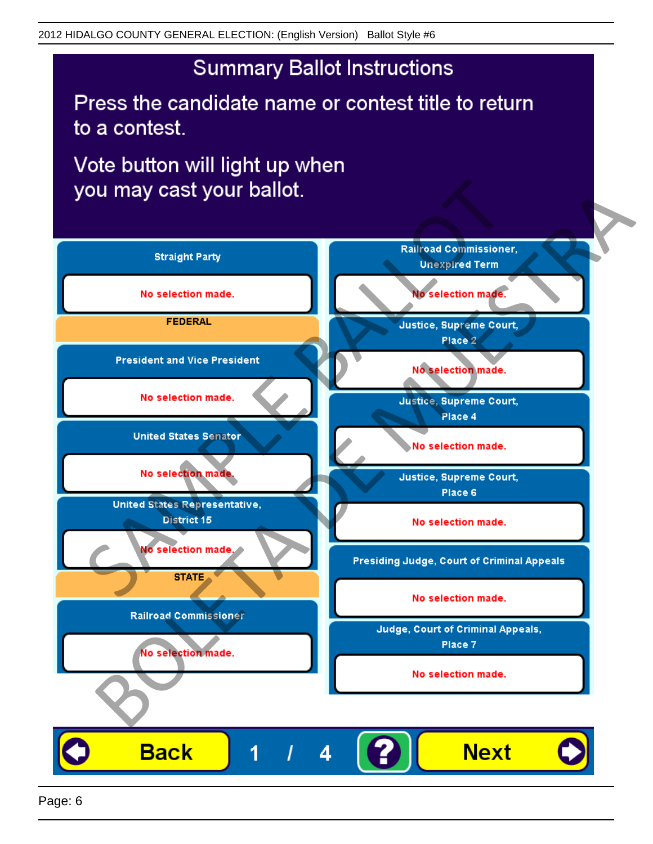Press the candidate name or contest title to return to a contest.

Vote button will light up when

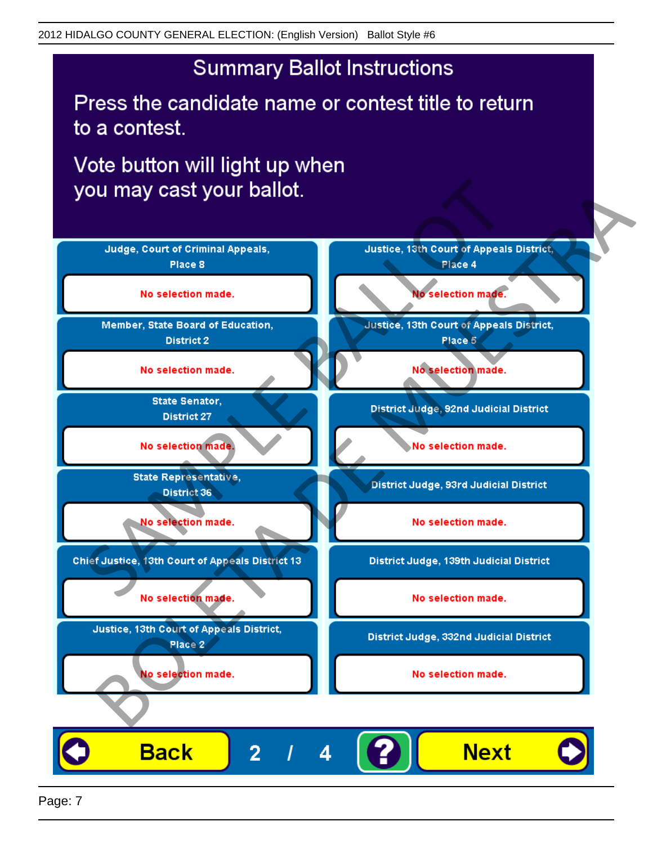Press the candidate name or contest title to return to a contest.

Vote button will light up when

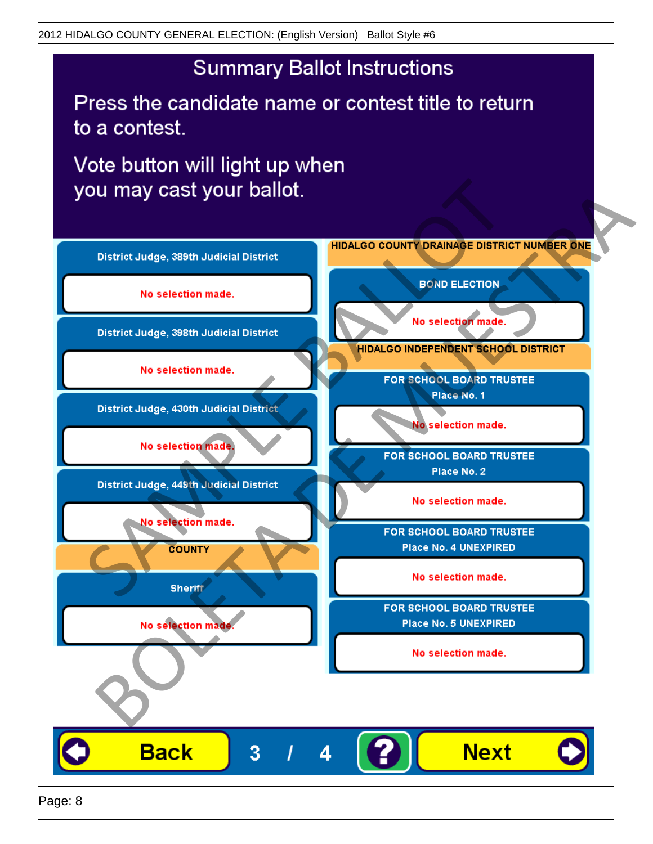Press the candidate name or contest title to return to a contest.

Vote button will light up when